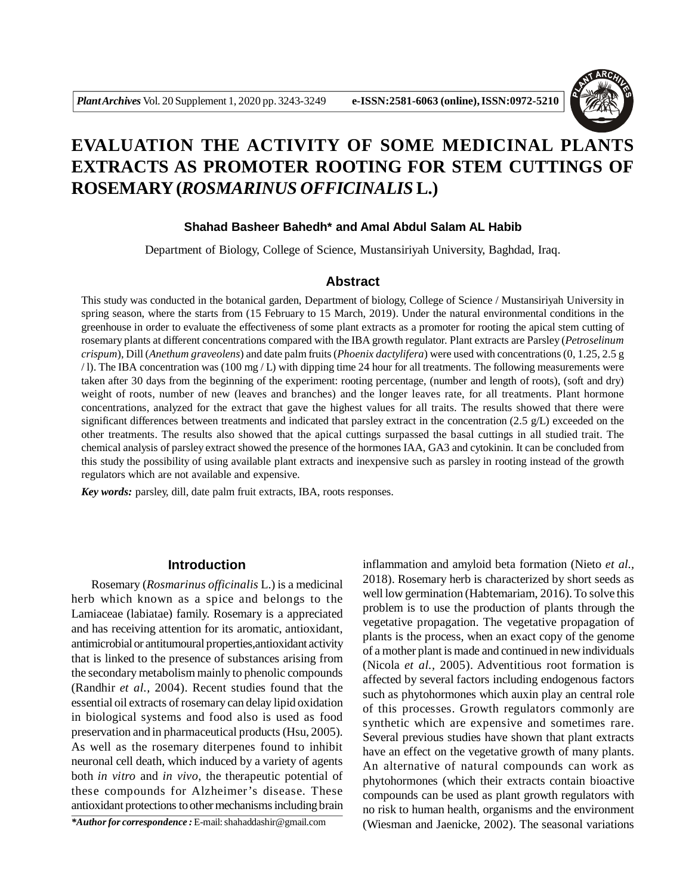

# **EVALUATION THE ACTIVITY OF SOME MEDICINAL PLANTS EXTRACTS AS PROMOTER ROOTING FOR STEM CUTTINGS OF ROSEMARY (***ROSMARINUS OFFICINALIS* **L.)**

## **Shahad Basheer Bahedh\* and Amal Abdul Salam AL Habib**

Department of Biology, College of Science, Mustansiriyah University, Baghdad, Iraq.

# **Abstract**

This study was conducted in the botanical garden, Department of biology, College of Science / Mustansiriyah University in spring season, where the starts from (15 February to 15 March, 2019). Under the natural environmental conditions in the greenhouse in order to evaluate the effectiveness of some plant extracts as a promoter for rooting the apical stem cutting of rosemary plants at different concentrations compared with the IBA growth regulator. Plant extracts are Parsley (*Petroselinum crispum*), Dill (*Anethum graveolens*) and date palm fruits (*Phoenix dactylifera*) were used with concentrations (0, 1.25, 2.5 g / l). The IBA concentration was (100 mg / L) with dipping time 24 hour for all treatments. The following measurements were taken after 30 days from the beginning of the experiment: rooting percentage, (number and length of roots), (soft and dry) weight of roots, number of new (leaves and branches) and the longer leaves rate, for all treatments. Plant hormone concentrations, analyzed for the extract that gave the highest values for all traits. The results showed that there were significant differences between treatments and indicated that parsley extract in the concentration (2.5 g/L) exceeded on the other treatments. The results also showed that the apical cuttings surpassed the basal cuttings in all studied trait. The chemical analysis of parsley extract showed the presence of the hormones IAA, GA3 and cytokinin. It can be concluded from this study the possibility of using available plant extracts and inexpensive such as parsley in rooting instead of the growth regulators which are not available and expensive.

*Key words:* parsley, dill, date palm fruit extracts, IBA, roots responses.

# **Introduction**

Rosemary (*Rosmarinus officinalis* L.) is a medicinal herb which known as a spice and belongs to the Lamiaceae (labiatae) family. Rosemary is a appreciated and has receiving attention for its aromatic, antioxidant, antimicrobial or antitumoural properties,antioxidant activity that is linked to the presence of substances arising from the secondary metabolism mainly to phenolic compounds (Randhir *et al.,* 2004). Recent studies found that the essential oil extracts of rosemary can delay lipid oxidation in biological systems and food also is used as food preservation and in pharmaceutical products (Hsu, 2005). As well as the rosemary diterpenes found to inhibit neuronal cell death, which induced by a variety of agents both *in vitro* and *in vivo*, the therapeutic potential of these compounds for Alzheimer's disease. These antioxidant protections to other mechanisms including brain

*\*Author for correspondence :* E-mail: shahaddashir@gmail.com

inflammation and amyloid beta formation (Nieto *et al.,* 2018). Rosemary herb is characterized by short seeds as well low germination (Habtemariam, 2016). To solve this problem is to use the production of plants through the vegetative propagation. The vegetative propagation of plants is the process, when an exact copy of the genome of a mother plant is made and continued in new individuals (Nicola *et al.,* 2005). Adventitious root formation is affected by several factors including endogenous factors such as phytohormones which auxin play an central role of this processes. Growth regulators commonly are synthetic which are expensive and sometimes rare. Several previous studies have shown that plant extracts have an effect on the vegetative growth of many plants. An alternative of natural compounds can work as phytohormones (which their extracts contain bioactive compounds can be used as plant growth regulators with no risk to human health, organisms and the environment (Wiesman and Jaenicke, 2002). The seasonal variations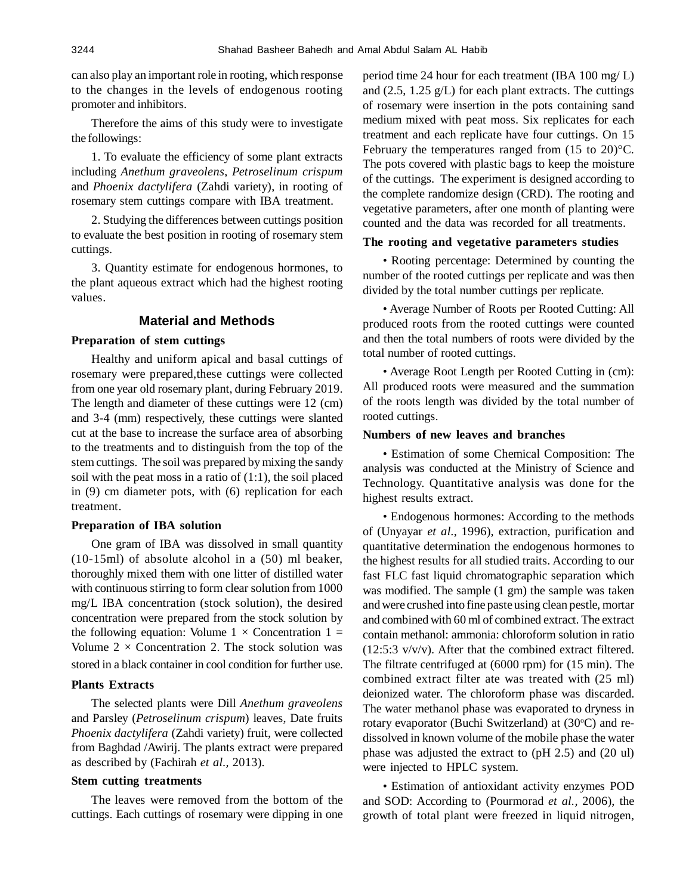can also play an important role in rooting, which response to the changes in the levels of endogenous rooting promoter and inhibitors.

Therefore the aims of this study were to investigate the followings:

1. To evaluate the efficiency of some plant extracts including *Anethum graveolens*, *Petroselinum crispum* and *Phoenix dactylifera* (Zahdi variety), in rooting of rosemary stem cuttings compare with IBA treatment.

2. Studying the differences between cuttings position to evaluate the best position in rooting of rosemary stem cuttings.

3. Quantity estimate for endogenous hormones, to the plant aqueous extract which had the highest rooting values.

# **Material and Methods**

## **Preparation of stem cuttings**

Healthy and uniform apical and basal cuttings of rosemary were prepared,these cuttings were collected from one year old rosemary plant, during February 2019. The length and diameter of these cuttings were 12 (cm) and 3-4 (mm) respectively, these cuttings were slanted cut at the base to increase the surface area of absorbing to the treatments and to distinguish from the top of the stem cuttings. The soil was prepared by mixing the sandy soil with the peat moss in a ratio of  $(1:1)$ , the soil placed in (9) cm diameter pots, with (6) replication for each treatment.

### **Preparation of IBA solution**

One gram of IBA was dissolved in small quantity (10-15ml) of absolute alcohol in a (50) ml beaker, thoroughly mixed them with one litter of distilled water with continuous stirring to form clear solution from 1000 mg/L IBA concentration (stock solution), the desired concentration were prepared from the stock solution by the following equation: Volume  $1 \times$  Concentration  $1 =$ Volume  $2 \times$  Concentration 2. The stock solution was stored in a black container in cool condition for further use.

## **Plants Extracts**

The selected plants were Dill *Anethum graveolens* and Parsley (*Petroselinum crispum*) leaves, Date fruits *Phoenix dactylifera* (Zahdi variety) fruit, were collected from Baghdad /Awirij. The plants extract were prepared as described by (Fachirah *et al.,* 2013).

#### **Stem cutting treatments**

The leaves were removed from the bottom of the cuttings. Each cuttings of rosemary were dipping in one period time 24 hour for each treatment (IBA 100 mg/ L) and (2.5, 1.25 g/L) for each plant extracts. The cuttings of rosemary were insertion in the pots containing sand medium mixed with peat moss. Six replicates for each treatment and each replicate have four cuttings. On 15 February the temperatures ranged from (15 to 20)°C. The pots covered with plastic bags to keep the moisture of the cuttings. The experiment is designed according to the complete randomize design (CRD). The rooting and vegetative parameters, after one month of planting were counted and the data was recorded for all treatments.

# **The rooting and vegetative parameters studies**

• Rooting percentage: Determined by counting the number of the rooted cuttings per replicate and was then divided by the total number cuttings per replicate.

• Average Number of Roots per Rooted Cutting: All produced roots from the rooted cuttings were counted and then the total numbers of roots were divided by the total number of rooted cuttings.

• Average Root Length per Rooted Cutting in (cm): All produced roots were measured and the summation of the roots length was divided by the total number of rooted cuttings.

## **Numbers of new leaves and branches**

• Estimation of some Chemical Composition: The analysis was conducted at the Ministry of Science and Technology. Quantitative analysis was done for the highest results extract.

• Endogenous hormones: According to the methods of (Unyayar *et al.*, 1996), extraction, purification and quantitative determination the endogenous hormones to the highest results for all studied traits. According to our fast FLC fast liquid chromatographic separation which was modified. The sample (1 gm) the sample was taken and were crushed into fine paste using clean pestle, mortar and combined with 60 ml of combined extract. The extract contain methanol: ammonia: chloroform solution in ratio (12:5:3 v/v/v). After that the combined extract filtered. The filtrate centrifuged at (6000 rpm) for (15 min). The combined extract filter ate was treated with (25 ml) deionized water. The chloroform phase was discarded. The water methanol phase was evaporated to dryness in rotary evaporator (Buchi Switzerland) at (30°C) and redissolved in known volume of the mobile phase the water phase was adjusted the extract to (pH 2.5) and (20 ul) were injected to HPLC system.

• Estimation of antioxidant activity enzymes POD and SOD: According to (Pourmorad *et al.,* 2006), the growth of total plant were freezed in liquid nitrogen,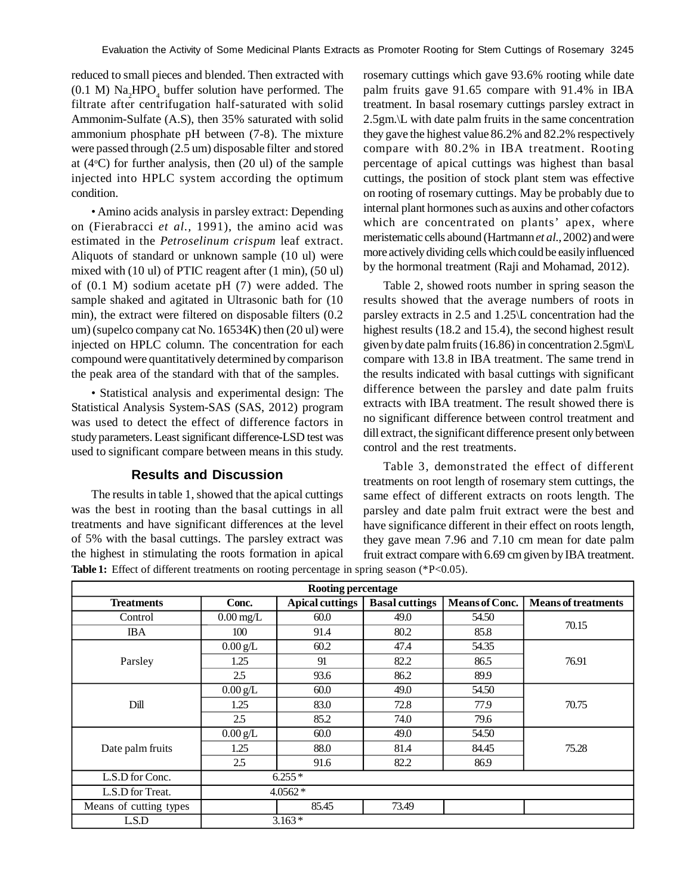reduced to small pieces and blended. Then extracted with  $(0.1 \text{ M})$  Na<sub>2</sub>HPO<sub>4</sub> buffer solution have performed. The filtrate after centrifugation half-saturated with solid Ammonim-Sulfate (A.S), then 35% saturated with solid ammonium phosphate pH between (7-8). The mixture were passed through (2.5 um) disposable filter and stored at  $(4^{\circ}C)$  for further analysis, then  $(20 \text{ ul})$  of the sample injected into HPLC system according the optimum condition.

• Amino acids analysis in parsley extract: Depending on (Fierabracci *et al.,* 1991), the amino acid was estimated in the *Petroselinum crispum* leaf extract. Aliquots of standard or unknown sample (10 ul) were mixed with (10 ul) of PTIC reagent after (1 min), (50 ul) of (0.1 M) sodium acetate pH (7) were added. The sample shaked and agitated in Ultrasonic bath for (10 min), the extract were filtered on disposable filters (0.2 um) (supelco company cat No. 16534K) then (20 ul) were injected on HPLC column. The concentration for each compound were quantitatively determined by comparison the peak area of the standard with that of the samples.

• Statistical analysis and experimental design: The Statistical Analysis System-SAS (SAS, 2012) program was used to detect the effect of difference factors in study parameters. Least significant difference-LSD test was used to significant compare between means in this study.

# **Results and Discussion**

The results in table 1, showed that the apical cuttings was the best in rooting than the basal cuttings in all treatments and have significant differences at the level of 5% with the basal cuttings. The parsley extract was the highest in stimulating the roots formation in apical Table 1: Effect of different treatments on rooting percentage in spring season (\*P<0.05).

rosemary cuttings which gave 93.6% rooting while date palm fruits gave 91.65 compare with 91.4% in IBA treatment. In basal rosemary cuttings parsley extract in 2.5gm.\L with date palm fruits in the same concentration they gave the highest value 86.2% and 82.2% respectively compare with 80.2% in IBA treatment. Rooting percentage of apical cuttings was highest than basal cuttings, the position of stock plant stem was effective on rooting of rosemary cuttings. May be probably due to internal plant hormones such as auxins and other cofactors which are concentrated on plants' apex, where meristematic cells abound (Hartmann *et al.,* 2002) and were more actively dividing cells which could be easily influenced by the hormonal treatment (Raji and Mohamad, 2012).

Table 2, showed roots number in spring season the results showed that the average numbers of roots in parsley extracts in 2.5 and 1.25\L concentration had the highest results (18.2 and 15.4), the second highest result given by date palm fruits (16.86) in concentration 2.5gm\L compare with 13.8 in IBA treatment. The same trend in the results indicated with basal cuttings with significant difference between the parsley and date palm fruits extracts with IBA treatment. The result showed there is no significant difference between control treatment and dill extract, the significant difference present only between control and the rest treatments.

Table 3, demonstrated the effect of different treatments on root length of rosemary stem cuttings, the same effect of different extracts on roots length. The parsley and date palm fruit extract were the best and have significance different in their effect on roots length, they gave mean 7.96 and 7.10 cm mean for date palm fruit extract compare with 6.69 cm given by IBA treatment.

| <b>Rooting percentage</b> |                        |                        |                       |                |                            |
|---------------------------|------------------------|------------------------|-----------------------|----------------|----------------------------|
| <b>Treatments</b>         | Conc.                  | <b>Apical cuttings</b> | <b>Basal cuttings</b> | Means of Conc. | <b>Means of treatments</b> |
| Control                   | $0.00 \,\mathrm{mg/L}$ | 60.0                   | 49.0                  | 54.50          |                            |
| <b>IBA</b>                | 100                    | 91.4                   | 80.2                  | 85.8           | 70.15                      |
|                           | $0.00$ g/L             | 60.2                   | 47.4                  | 54.35          |                            |
| Parsley                   | 1.25                   | 91                     | 82.2                  | 86.5           | 76.91                      |
|                           | 2.5                    | 93.6                   | 86.2                  | 89.9           |                            |
| Dill                      | $0.00$ g/L             | 60.0                   | 49.0                  | 54.50          | 70.75                      |
|                           | 1.25                   | 83.0                   | 72.8                  | 77.9           |                            |
|                           | 2.5                    | 85.2                   | 74.0                  | 79.6           |                            |
| Date palm fruits          | $0.00$ g/L             | 60.0                   | 49.0                  | 54.50          | 75.28                      |
|                           | 1.25                   | 88.0                   | 81.4                  | 84.45          |                            |
|                           | 2.5                    | 91.6                   | 82.2                  | 86.9           |                            |
| L.S.D for Conc.           | $6.255*$               |                        |                       |                |                            |
| L.S.D for Treat.          | $4.0562*$              |                        |                       |                |                            |
| Means of cutting types    |                        | 85.45                  | 73.49                 |                |                            |
| L.S.D                     | $3.163*$               |                        |                       |                |                            |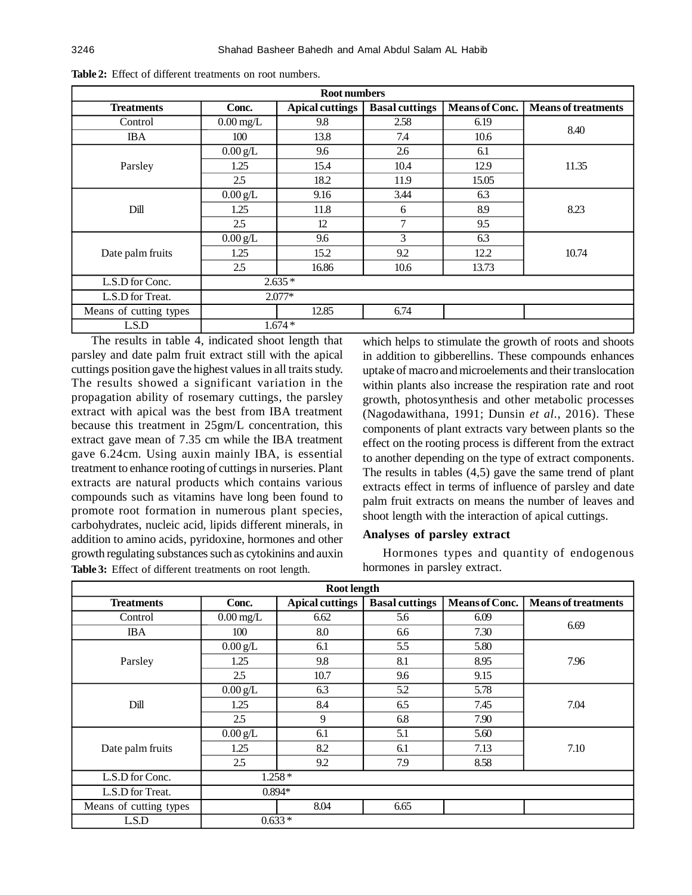| <b>Root numbers</b>    |                        |                        |                       |                       |                            |
|------------------------|------------------------|------------------------|-----------------------|-----------------------|----------------------------|
| <b>Treatments</b>      | Conc.                  | <b>Apical cuttings</b> | <b>Basal cuttings</b> | <b>Means of Conc.</b> | <b>Means of treatments</b> |
| Control                | $0.00 \,\mathrm{mg/L}$ | 9.8                    | 2.58                  | 6.19                  |                            |
| <b>IBA</b>             | 100                    | 13.8                   | 7.4                   | 10.6                  | 8.40                       |
|                        | $0.00$ g/L             | 9.6                    | 2.6                   | 6.1                   |                            |
| Parsley                | 1.25                   | 15.4                   | 10.4                  | 12.9                  | 11.35                      |
|                        | 2.5                    | 18.2                   | 11.9                  | 15.05                 |                            |
| Dill                   | $0.00$ g/L             | 9.16                   | 3.44                  | 6.3                   | 8.23                       |
|                        | 1.25                   | 11.8                   | 6                     | 8.9                   |                            |
|                        | 2.5                    | 12                     | 7                     | 9.5                   |                            |
| Date palm fruits       | $0.00$ g/L             | 9.6                    | 3                     | 6.3                   | 10.74                      |
|                        | 1.25                   | 15.2                   | 9.2                   | 12.2                  |                            |
|                        | 2.5                    | 16.86                  | 10.6                  | 13.73                 |                            |
| L.S.D for Conc.        | $2.635*$               |                        |                       |                       |                            |
| L.S.D for Treat.       | $2.077*$               |                        |                       |                       |                            |
| Means of cutting types |                        | 12.85                  | 6.74                  |                       |                            |
| L.S.D                  | $1.674*$               |                        |                       |                       |                            |

**Table 2:** Effect of different treatments on root numbers.

The results in table 4, indicated shoot length that parsley and date palm fruit extract still with the apical cuttings position gave the highest values in all traits study. The results showed a significant variation in the propagation ability of rosemary cuttings, the parsley extract with apical was the best from IBA treatment because this treatment in 25gm/L concentration, this extract gave mean of 7.35 cm while the IBA treatment gave 6.24cm. Using auxin mainly IBA, is essential treatment to enhance rooting of cuttings in nurseries. Plant extracts are natural products which contains various compounds such as vitamins have long been found to promote root formation in numerous plant species, carbohydrates, nucleic acid, lipids different minerals, in addition to amino acids, pyridoxine, hormones and other growth regulating substances such as cytokinins and auxin Table 3: Effect of different treatments on root length. hormones in parsley extract.

which helps to stimulate the growth of roots and shoots in addition to gibberellins. These compounds enhances uptake of macro and microelements and their translocation within plants also increase the respiration rate and root growth, photosynthesis and other metabolic processes (Nagodawithana, 1991; Dunsin *et al.*, 2016). These components of plant extracts vary between plants so the effect on the rooting process is different from the extract to another depending on the type of extract components. The results in tables (4,5) gave the same trend of plant extracts effect in terms of influence of parsley and date palm fruit extracts on means the number of leaves and shoot length with the interaction of apical cuttings.

# **Analyses of parsley extract**

Hormones types and quantity of endogenous

| Root length            |                        |                        |                       |                       |                            |
|------------------------|------------------------|------------------------|-----------------------|-----------------------|----------------------------|
| <b>Treatments</b>      | Conc.                  | <b>Apical cuttings</b> | <b>Basal cuttings</b> | <b>Means of Conc.</b> | <b>Means of treatments</b> |
| Control                | $0.00 \,\mathrm{mg/L}$ | 6.62                   | 5.6                   | 6.09                  |                            |
| <b>IBA</b>             | 100                    | 8.0                    | 6.6                   | 7.30                  | 6.69                       |
|                        | $0.00 \text{ g/L}$     | 6.1                    | 5.5                   | 5.80                  |                            |
| Parsley                | 1.25                   | 9.8                    | 8.1                   | 8.95                  | 7.96                       |
|                        | 2.5                    | 10.7                   | 9.6                   | 9.15                  |                            |
| Dill                   | $0.00$ g/L             | 6.3                    | 5.2                   | 5.78                  | 7.04                       |
|                        | 1.25                   | 8.4                    | 6.5                   | 7.45                  |                            |
|                        | 2.5                    | 9                      | 6.8                   | 7.90                  |                            |
| Date palm fruits       | $0.00 \text{ g/L}$     | 6.1                    | 5.1                   | 5.60                  | 7.10                       |
|                        | 1.25                   | 8.2                    | 6.1                   | 7.13                  |                            |
|                        | 2.5                    | 9.2                    | 7.9                   | 8.58                  |                            |
| L.S.D for Conc.        | $1.258*$               |                        |                       |                       |                            |
| L.S.D for Treat.       | $0.894*$               |                        |                       |                       |                            |
| Means of cutting types |                        | 8.04                   | 6.65                  |                       |                            |
| LSD                    |                        | $0.633*$               |                       |                       |                            |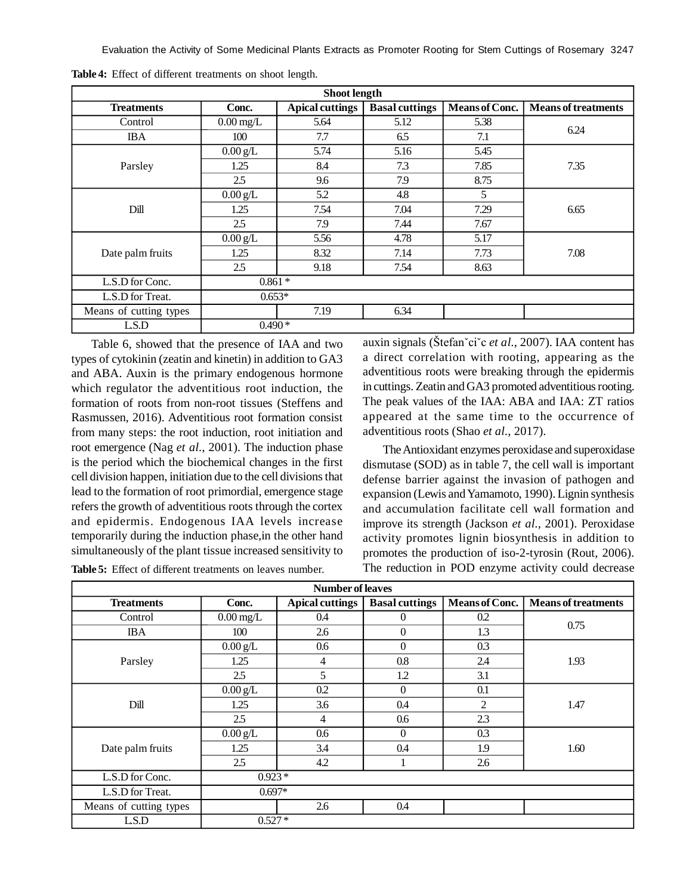Evaluation the Activity of Some Medicinal Plants Extracts as Promoter Rooting for Stem Cuttings of Rosemary 3247

| <b>Shoot length</b>    |                        |                        |                       |                |                            |
|------------------------|------------------------|------------------------|-----------------------|----------------|----------------------------|
| <b>Treatments</b>      | Conc.                  | <b>Apical cuttings</b> | <b>Basal cuttings</b> | Means of Conc. | <b>Means of treatments</b> |
| Control                | $0.00 \,\mathrm{mg/L}$ | 5.64                   | 5.12                  | 5.38           |                            |
| <b>IBA</b>             | 100                    | 7.7                    | 6.5                   | 7.1            | 6.24                       |
|                        | $0.00$ g/L             | 5.74                   | 5.16                  | 5.45           |                            |
| Parsley                | 1.25                   | 8.4                    | 7.3                   | 7.85           | 7.35                       |
|                        | 2.5                    | 9.6                    | 7.9                   | 8.75           |                            |
|                        | $0.00$ g/L             | 5.2                    | 4.8                   | 5              | 6.65                       |
| Dill                   | 1.25                   | 7.54                   | 7.04                  | 7.29           |                            |
|                        | 2.5                    | 7.9                    | 7.44                  | 7.67           |                            |
|                        | $0.00 \text{ g/L}$     | 5.56                   | 4.78                  | 5.17           | 7.08                       |
| Date palm fruits       | 1.25                   | 8.32                   | 7.14                  | 7.73           |                            |
|                        | 2.5                    | 9.18                   | 7.54                  | 8.63           |                            |
| L.S.D for Conc.        | $0.861*$               |                        |                       |                |                            |
| L.S.D for Treat.       | $0.653*$               |                        |                       |                |                            |
| Means of cutting types |                        | 7.19                   | 6.34                  |                |                            |
| L.S.D                  | $0.490*$               |                        |                       |                |                            |

**Table 4:** Effect of different treatments on shoot length.

Table 6, showed that the presence of IAA and two types of cytokinin (zeatin and kinetin) in addition to GA3 and ABA. Auxin is the primary endogenous hormone which regulator the adventitious root induction, the formation of roots from non-root tissues (Steffens and Rasmussen, 2016). Adventitious root formation consist from many steps: the root induction, root initiation and root emergence (Nag *et al.*, 2001). The induction phase is the period which the biochemical changes in the first cell division happen, initiation due to the cell divisions that lead to the formation of root primordial, emergence stage refers the growth of adventitious roots through the cortex and epidermis. Endogenous IAA levels increase temporarily during the induction phase,in the other hand simultaneously of the plant tissue increased sensitivity to

**Table 5:** Effect of different treatments on leaves number.

auxin signals (Štefanˇciˇc *et al.*, 2007). IAA content has a direct correlation with rooting, appearing as the adventitious roots were breaking through the epidermis in cuttings. Zeatin and GA3 promoted adventitious rooting. The peak values of the IAA: ABA and IAA: ZT ratios appeared at the same time to the occurrence of adventitious roots (Shao *et al.*, 2017).

The Antioxidant enzymes peroxidase and superoxidase dismutase (SOD) as in table 7, the cell wall is important defense barrier against the invasion of pathogen and expansion (Lewis and Yamamoto, 1990). Lignin synthesis and accumulation facilitate cell wall formation and improve its strength (Jackson *et al.,* 2001). Peroxidase activity promotes lignin biosynthesis in addition to promotes the production of iso-2-tyrosin (Rout, 2006). The reduction in POD enzyme activity could decrease

| <b>Number of leaves</b> |                     |                 |                       |                |                            |
|-------------------------|---------------------|-----------------|-----------------------|----------------|----------------------------|
| <b>Treatments</b>       | Conc.               | Apical cuttings | <b>Basal cuttings</b> | Means of Conc. | <b>Means of treatments</b> |
| Control                 | $0.00 \text{ mg/L}$ | 0.4             | 0                     | 0.2            |                            |
| <b>IBA</b>              | 100                 | 2.6             | $\overline{0}$        | 1.3            | 0.75                       |
|                         | $0.00 \text{ g/L}$  | 0.6             | $\overline{0}$        | 0.3            |                            |
| Parsley                 | 1.25                | 4               | 0.8                   | 2.4            | 1.93                       |
|                         | 2.5                 | 5               | 1.2                   | 3.1            |                            |
| Dill                    | $0.00$ g/L          | 0.2             | $\overline{0}$        | 0.1            | 1.47                       |
|                         | 1.25                | 3.6             | 0.4                   | 2              |                            |
|                         | 2.5                 | 4               | 0.6                   | 2.3            |                            |
| Date palm fruits        | $0.00$ g/L          | 0.6             | $\theta$              | 0.3            | 1.60                       |
|                         | 1.25                | 3.4             | 0.4                   | 1.9            |                            |
|                         | 2.5                 | 4.2             |                       | 2.6            |                            |
| L.S.D for Conc.         | $0.923*$            |                 |                       |                |                            |
| L.S.D for Treat.        | $0.697*$            |                 |                       |                |                            |
| Means of cutting types  |                     | 2.6             | 0.4                   |                |                            |
| LSD                     | $0.527*$            |                 |                       |                |                            |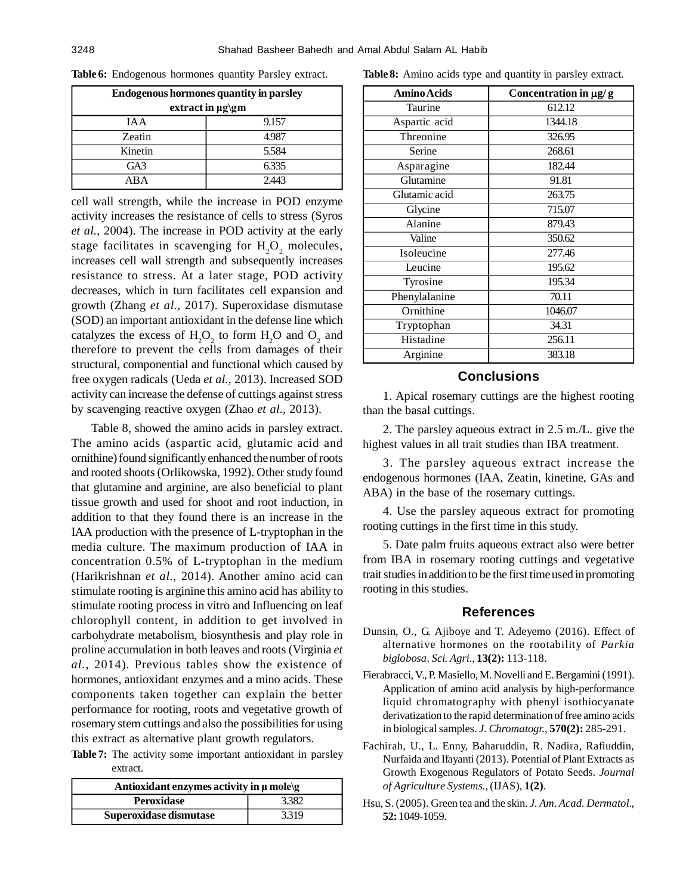| <b>Endogenous hormones quantity in parsley</b> |       |  |  |  |
|------------------------------------------------|-------|--|--|--|
| extract in µg\gm                               |       |  |  |  |
| IA A                                           | 9.157 |  |  |  |
| Zeatin                                         | 4.987 |  |  |  |
| Kinetin                                        | 5.584 |  |  |  |
| GA3                                            | 6.335 |  |  |  |
| AΒA                                            | 2.443 |  |  |  |

**Table 6:** Endogenous hormones quantity Parsley extract.

cell wall strength, while the increase in POD enzyme activity increases the resistance of cells to stress (Syros *et al.,* 2004). The increase in POD activity at the early stage facilitates in scavenging for  $H_2O_2$  molecules, increases cell wall strength and subsequently increases resistance to stress. At a later stage, POD activity decreases, which in turn facilitates cell expansion and growth (Zhang *et al.,* 2017). Superoxidase dismutase (SOD) an important antioxidant in the defense line which catalyzes the excess of  $H_2O_2$  to form  $H_2O$  and  $O_2$  and therefore to prevent the cells from damages of their structural, componential and functional which caused by free oxygen radicals (Ueda *et al.,* 2013). Increased SOD activity can increase the defense of cuttings against stress by scavenging reactive oxygen (Zhao *et al.,* 2013).

Table 8, showed the amino acids in parsley extract. The amino acids (aspartic acid, glutamic acid and ornithine) found significantly enhanced the number of roots and rooted shoots (Orlikowska, 1992). Other study found that glutamine and arginine, are also beneficial to plant tissue growth and used for shoot and root induction, in addition to that they found there is an increase in the IAA production with the presence of L-tryptophan in the media culture. The maximum production of IAA in concentration 0.5% of L-tryptophan in the medium (Harikrishnan *et al.*, 2014). Another amino acid can stimulate rooting is arginine this amino acid has ability to stimulate rooting process in vitro and Influencing on leaf chlorophyll content, in addition to get involved in carbohydrate metabolism, biosynthesis and play role in proline accumulation in both leaves and roots (Virginia *et al.*, 2014). Previous tables show the existence of hormones, antioxidant enzymes and a mino acids. These components taken together can explain the better performance for rooting, roots and vegetative growth of rosemary stem cuttings and also the possibilities for using this extract as alternative plant growth regulators.

**Table 7:** The activity some important antioxidant in parsley extract.

| Antioxidant enzymes activity in $\mu$ mole\g |       |  |
|----------------------------------------------|-------|--|
| <b>Peroxidase</b>                            | 3.382 |  |
| Superoxidase dismutase                       | 3.319 |  |

**Table 8:** Amino acids type and quantity in parsley extract.

| <b>Amino Acids</b> | Concentration in $\mu$ g/g |
|--------------------|----------------------------|
| Taurine            | 612.12                     |
| Aspartic acid      | 1344.18                    |
| Threonine          | 326.95                     |
| Serine             | 268.61                     |
| Asparagine         | 182.44                     |
| Glutamine          | 91.81                      |
| Glutamic acid      | 263.75                     |
| Glycine            | 715.07                     |
| Alanine            | 879.43                     |
| Valine             | 350.62                     |
| Isoleucine         | 277.46                     |
| Leucine            | 195.62                     |
| Tyrosine           | 195.34                     |
| Phenylalanine      | 70.11                      |
| Ornithine          | 1046.07                    |
| Tryptophan         | 34.31                      |
| Histadine          | 256.11                     |
| Arginine           | 383.18                     |

# **Conclusions**

1. Apical rosemary cuttings are the highest rooting than the basal cuttings.

2. The parsley aqueous extract in 2.5 m./L. give the highest values in all trait studies than IBA treatment.

3. The parsley aqueous extract increase the endogenous hormones (IAA, Zeatin, kinetine, GAs and ABA) in the base of the rosemary cuttings.

4. Use the parsley aqueous extract for promoting rooting cuttings in the first time in this study.

5. Date palm fruits aqueous extract also were better from IBA in rosemary rooting cuttings and vegetative trait studies in addition to be the first time used in promoting rooting in this studies.

## **References**

- Dunsin, O., G. Ajiboye and T. Adeyemo (2016). Effect of alternative hormones on the rootability of *Parkia biglobosa*. *Sci. Agri*., **13(2):** 113-118.
- Fierabracci, V., P. Masiello, M. Novelli and E. Bergamini (1991). Application of amino acid analysis by high-performance liquid chromatography with phenyl isothiocyanate derivatization to the rapid determination of free amino acids in biological samples. *J. Chromatogr.*, **570(2):** 285-291.
- Fachirah, U., L. Enny, Baharuddin, R. Nadira, Rafiuddin, Nurfaida and Ifayanti (2013). Potential of Plant Extracts as Growth Exogenous Regulators of Potato Seeds. *Journal of Agriculture Systems.,* (IJAS), **1(2)**.
- Hsu, S. (2005). Green tea and the skin. *J. Am. Acad. Dermatol*., **52:** 1049-1059.